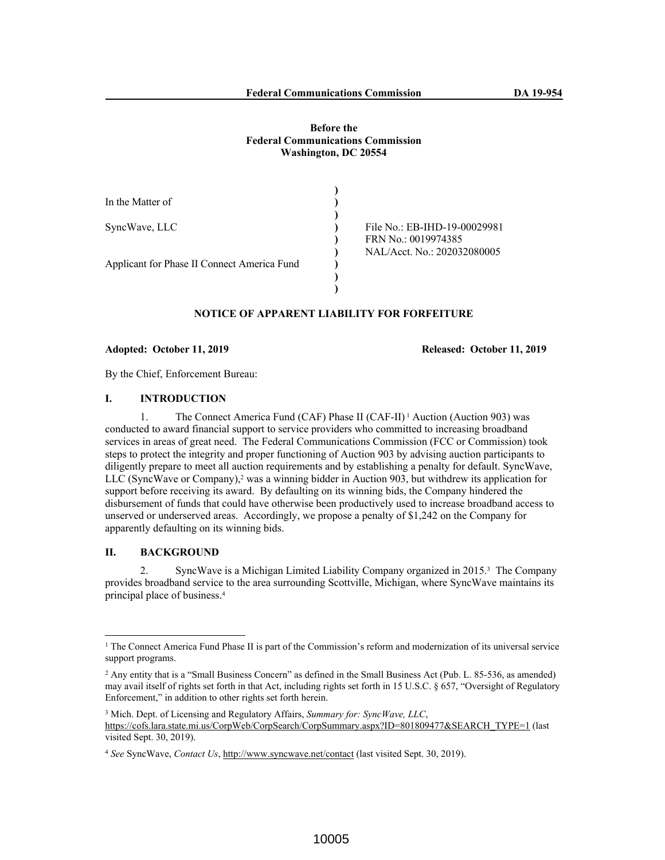# **Before the Federal Communications Commission Washington, DC 20554**

| In the Matter of                            |                              |
|---------------------------------------------|------------------------------|
|                                             |                              |
| SyncWave, LLC                               | File No.: EB-IHD-19-00029981 |
|                                             | FRN No.: 0019974385          |
|                                             | NAL/Acct. No.: 202032080005  |
| Applicant for Phase II Connect America Fund |                              |
|                                             |                              |
|                                             |                              |

# **NOTICE OF APPARENT LIABILITY FOR FORFEITURE**

**Adopted: October 11, 2019 Released: October 11, 2019**

By the Chief, Enforcement Bureau:

# **I. INTRODUCTION**

1. The Connect America Fund (CAF) Phase II (CAF-II) 1 Auction (Auction 903) was conducted to award financial support to service providers who committed to increasing broadband services in areas of great need. The Federal Communications Commission (FCC or Commission) took steps to protect the integrity and proper functioning of Auction 903 by advising auction participants to diligently prepare to meet all auction requirements and by establishing a penalty for default. SyncWave, LLC (SyncWave or Company),<sup>2</sup> was a winning bidder in Auction 903, but withdrew its application for support before receiving its award. By defaulting on its winning bids, the Company hindered the disbursement of funds that could have otherwise been productively used to increase broadband access to unserved or underserved areas. Accordingly, we propose a penalty of \$1,242 on the Company for apparently defaulting on its winning bids.

### **II. BACKGROUND**

2. SyncWave is a Michigan Limited Liability Company organized in 2015.<sup>3</sup> The Company provides broadband service to the area surrounding Scottville, Michigan, where SyncWave maintains its principal place of business.<sup>4</sup>

<sup>&</sup>lt;sup>1</sup> The Connect America Fund Phase II is part of the Commission's reform and modernization of its universal service support programs.

<sup>&</sup>lt;sup>2</sup> Any entity that is a "Small Business Concern" as defined in the Small Business Act (Pub. L. 85-536, as amended) may avail itself of rights set forth in that Act, including rights set forth in 15 U.S.C. § 657, "Oversight of Regulatory Enforcement," in addition to other rights set forth herein.

<sup>3</sup> Mich. Dept. of Licensing and Regulatory Affairs, *Summary for: SyncWave, LLC*, https://cofs.lara.state.mi.us/CorpWeb/CorpSearch/CorpSummary.aspx?ID=801809477&SEARCH\_TYPE=1 (last visited Sept. 30, 2019).

<sup>4</sup> *See* SyncWave, *Contact Us*, http://www.syncwave.net/contact (last visited Sept. 30, 2019).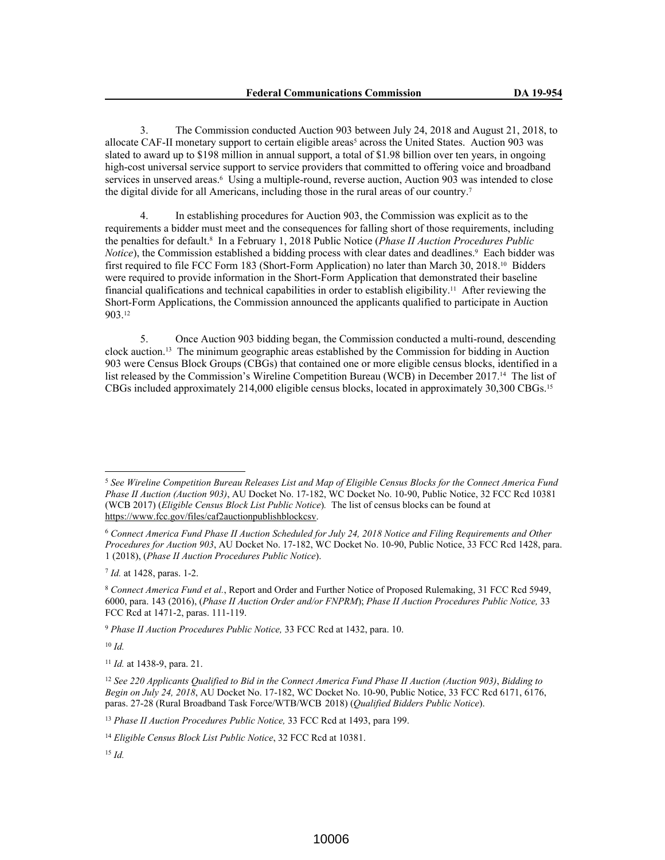3. The Commission conducted Auction 903 between July 24, 2018 and August 21, 2018, to allocate CAF-II monetary support to certain eligible areas<sup>5</sup> across the United States. Auction 903 was slated to award up to \$198 million in annual support, a total of \$1.98 billion over ten years, in ongoing high-cost universal service support to service providers that committed to offering voice and broadband services in unserved areas.<sup>6</sup> Using a multiple-round, reverse auction, Auction 903 was intended to close the digital divide for all Americans, including those in the rural areas of our country.<sup>7</sup>

4. In establishing procedures for Auction 903, the Commission was explicit as to the requirements a bidder must meet and the consequences for falling short of those requirements, including the penalties for default.<sup>8</sup> In a February 1, 2018 Public Notice (*Phase II Auction Procedures Public*  Notice), the Commission established a bidding process with clear dates and deadlines.<sup>9</sup> Each bidder was first required to file FCC Form 183 (Short-Form Application) no later than March 30, 2018.10 Bidders were required to provide information in the Short-Form Application that demonstrated their baseline financial qualifications and technical capabilities in order to establish eligibility.11 After reviewing the Short-Form Applications, the Commission announced the applicants qualified to participate in Auction 903.<sup>12</sup>

5. Once Auction 903 bidding began, the Commission conducted a multi-round, descending clock auction.13 The minimum geographic areas established by the Commission for bidding in Auction 903 were Census Block Groups (CBGs) that contained one or more eligible census blocks, identified in a list released by the Commission's Wireline Competition Bureau (WCB) in December 2017.14 The list of CBGs included approximately 214,000 eligible census blocks, located in approximately 30,300 CBGs.<sup>15</sup>

7 *Id.* at 1428, paras. 1-2.

<sup>10</sup> *Id.*

<sup>13</sup> *Phase II Auction Procedures Public Notice,* 33 FCC Rcd at 1493, para 199.

<sup>5</sup> *See Wireline Competition Bureau Releases List and Map of Eligible Census Blocks for the Connect America Fund Phase II Auction (Auction 903)*, AU Docket No. 17-182, WC Docket No. 10-90, Public Notice, 32 FCC Rcd 10381 (WCB 2017) (*Eligible Census Block List Public Notice*)*.* The list of census blocks can be found at https://www.fcc.gov/files/caf2auctionpublishblockcsv.

<sup>6</sup> *Connect America Fund Phase II Auction Scheduled for July 24, 2018 Notice and Filing Requirements and Other Procedures for Auction 903*, AU Docket No. 17-182, WC Docket No. 10-90, Public Notice, 33 FCC Rcd 1428, para. 1 (2018), (*Phase II Auction Procedures Public Notice*).

<sup>8</sup> *Connect America Fund et al.*, Report and Order and Further Notice of Proposed Rulemaking, 31 FCC Rcd 5949, 6000, para. 143 (2016), (*Phase II Auction Order and/or FNPRM*); *Phase II Auction Procedures Public Notice,* 33 FCC Rcd at 1471-2, paras. 111-119.

<sup>9</sup> *Phase II Auction Procedures Public Notice,* 33 FCC Rcd at 1432, para. 10.

<sup>11</sup> *Id.* at 1438-9, para. 21.

<sup>12</sup> *See 220 Applicants Qualified to Bid in the Connect America Fund Phase II Auction (Auction 903)*, *Bidding to Begin on July 24, 2018*, AU Docket No. 17-182, WC Docket No. 10-90, Public Notice, 33 FCC Rcd 6171, 6176, paras. 27-28 (Rural Broadband Task Force/WTB/WCB 2018) (*Qualified Bidders Public Notice*).

<sup>14</sup> *Eligible Census Block List Public Notice*, 32 FCC Rcd at 10381.

<sup>15</sup> *Id.*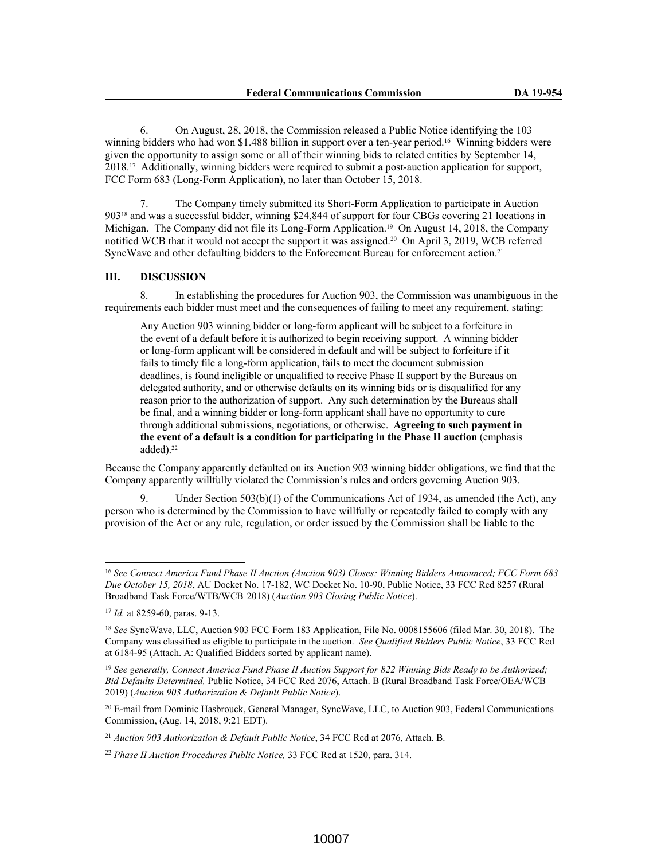6. On August, 28, 2018, the Commission released a Public Notice identifying the 103 winning bidders who had won \$1.488 billion in support over a ten-year period.<sup>16</sup> Winning bidders were given the opportunity to assign some or all of their winning bids to related entities by September 14, 2018.17 Additionally, winning bidders were required to submit a post-auction application for support, FCC Form 683 (Long-Form Application), no later than October 15, 2018.

7. The Company timely submitted its Short-Form Application to participate in Auction 90318 and was a successful bidder, winning \$24,844 of support for four CBGs covering 21 locations in Michigan. The Company did not file its Long-Form Application.<sup>19</sup> On August 14, 2018, the Company notified WCB that it would not accept the support it was assigned.20 On April 3, 2019, WCB referred SyncWave and other defaulting bidders to the Enforcement Bureau for enforcement action.<sup>21</sup>

#### **III. DISCUSSION**

8. In establishing the procedures for Auction 903, the Commission was unambiguous in the requirements each bidder must meet and the consequences of failing to meet any requirement, stating:

Any Auction 903 winning bidder or long-form applicant will be subject to a forfeiture in the event of a default before it is authorized to begin receiving support. A winning bidder or long-form applicant will be considered in default and will be subject to forfeiture if it fails to timely file a long-form application, fails to meet the document submission deadlines, is found ineligible or unqualified to receive Phase II support by the Bureaus on delegated authority, and or otherwise defaults on its winning bids or is disqualified for any reason prior to the authorization of support. Any such determination by the Bureaus shall be final, and a winning bidder or long-form applicant shall have no opportunity to cure through additional submissions, negotiations, or otherwise. **Agreeing to such payment in the event of a default is a condition for participating in the Phase II auction** (emphasis added).<sup>22</sup>

Because the Company apparently defaulted on its Auction 903 winning bidder obligations, we find that the Company apparently willfully violated the Commission's rules and orders governing Auction 903.

Under Section  $503(b)(1)$  of the Communications Act of 1934, as amended (the Act), any person who is determined by the Commission to have willfully or repeatedly failed to comply with any provision of the Act or any rule, regulation, or order issued by the Commission shall be liable to the

<sup>16</sup> *See Connect America Fund Phase II Auction (Auction 903) Closes; Winning Bidders Announced; FCC Form 683 Due October 15, 2018*, AU Docket No. 17-182, WC Docket No. 10-90, Public Notice, 33 FCC Rcd 8257 (Rural Broadband Task Force/WTB/WCB 2018) (*Auction 903 Closing Public Notice*).

<sup>17</sup> *Id.* at 8259-60, paras. 9-13.

<sup>18</sup> *See* SyncWave, LLC, Auction 903 FCC Form 183 Application, File No. 0008155606 (filed Mar. 30, 2018). The Company was classified as eligible to participate in the auction. *See Qualified Bidders Public Notice*, 33 FCC Rcd at 6184-95 (Attach. A: Qualified Bidders sorted by applicant name).

<sup>19</sup> *See generally, Connect America Fund Phase II Auction Support for 822 Winning Bids Ready to be Authorized; Bid Defaults Determined,* Public Notice, 34 FCC Rcd 2076, Attach. B (Rural Broadband Task Force/OEA/WCB 2019) (*Auction 903 Authorization & Default Public Notice*).

<sup>20</sup> E-mail from Dominic Hasbrouck, General Manager, SyncWave, LLC, to Auction 903, Federal Communications Commission, (Aug. 14, 2018, 9:21 EDT).

<sup>21</sup> *Auction 903 Authorization & Default Public Notice*, 34 FCC Rcd at 2076, Attach. B.

<sup>22</sup> *Phase II Auction Procedures Public Notice,* 33 FCC Rcd at 1520, para. 314.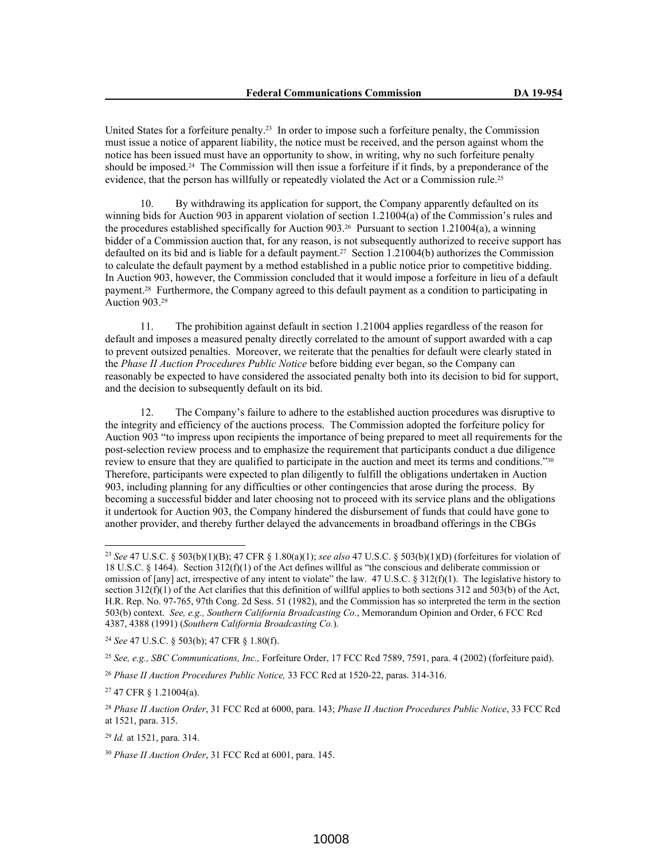United States for a forfeiture penalty.23 In order to impose such a forfeiture penalty, the Commission must issue a notice of apparent liability, the notice must be received, and the person against whom the notice has been issued must have an opportunity to show, in writing, why no such forfeiture penalty should be imposed.24 The Commission will then issue a forfeiture if it finds, by a preponderance of the evidence, that the person has willfully or repeatedly violated the Act or a Commission rule.<sup>25</sup>

10. By withdrawing its application for support, the Company apparently defaulted on its winning bids for Auction 903 in apparent violation of section 1.21004(a) of the Commission's rules and the procedures established specifically for Auction 903.<sup>26</sup> Pursuant to section 1.21004(a), a winning bidder of a Commission auction that, for any reason, is not subsequently authorized to receive support has defaulted on its bid and is liable for a default payment.27 Section 1.21004(b) authorizes the Commission to calculate the default payment by a method established in a public notice prior to competitive bidding. In Auction 903, however, the Commission concluded that it would impose a forfeiture in lieu of a default payment.28 Furthermore, the Company agreed to this default payment as a condition to participating in Auction 903.<sup>29</sup>

11. The prohibition against default in section 1.21004 applies regardless of the reason for default and imposes a measured penalty directly correlated to the amount of support awarded with a cap to prevent outsized penalties. Moreover, we reiterate that the penalties for default were clearly stated in the *Phase II Auction Procedures Public Notice* before bidding ever began, so the Company can reasonably be expected to have considered the associated penalty both into its decision to bid for support, and the decision to subsequently default on its bid.

12. The Company's failure to adhere to the established auction procedures was disruptive to the integrity and efficiency of the auctions process. The Commission adopted the forfeiture policy for Auction 903 "to impress upon recipients the importance of being prepared to meet all requirements for the post-selection review process and to emphasize the requirement that participants conduct a due diligence review to ensure that they are qualified to participate in the auction and meet its terms and conditions."<sup>30</sup> Therefore, participants were expected to plan diligently to fulfill the obligations undertaken in Auction 903, including planning for any difficulties or other contingencies that arose during the process. By becoming a successful bidder and later choosing not to proceed with its service plans and the obligations it undertook for Auction 903, the Company hindered the disbursement of funds that could have gone to another provider, and thereby further delayed the advancements in broadband offerings in the CBGs

<sup>24</sup> *See* 47 U.S.C. § 503(b); 47 CFR § 1.80(f).

<sup>25</sup> *See, e.g., SBC Communications, Inc.,* Forfeiture Order, 17 FCC Rcd 7589, 7591, para. 4 (2002) (forfeiture paid).

<sup>27</sup> 47 CFR § 1.21004(a).

<sup>29</sup> *Id.* at 1521, para. 314.

<sup>23</sup> *See* 47 U.S.C. § 503(b)(1)(B); 47 CFR § 1.80(a)(1); *see also* 47 U.S.C. § 503(b)(1)(D) (forfeitures for violation of 18 U.S.C. § 1464). Section 312(f)(1) of the Act defines willful as "the conscious and deliberate commission or omission of [any] act, irrespective of any intent to violate" the law. 47 U.S.C. § 312(f)(1). The legislative history to section  $312(f)(1)$  of the Act clarifies that this definition of willful applies to both sections 312 and 503(b) of the Act, H.R. Rep. No. 97-765, 97th Cong. 2d Sess. 51 (1982), and the Commission has so interpreted the term in the section 503(b) context. *See, e.g., Southern California Broadcasting Co.*, Memorandum Opinion and Order, 6 FCC Rcd 4387, 4388 (1991) (*Southern California Broadcasting Co.*).

<sup>26</sup> *Phase II Auction Procedures Public Notice,* 33 FCC Rcd at 1520-22, paras. 314-316.

<sup>28</sup> *Phase II Auction Order*, 31 FCC Rcd at 6000, para. 143; *Phase II Auction Procedures Public Notice*, 33 FCC Rcd at 1521, para. 315.

<sup>30</sup> *Phase II Auction Order*, 31 FCC Rcd at 6001, para. 145.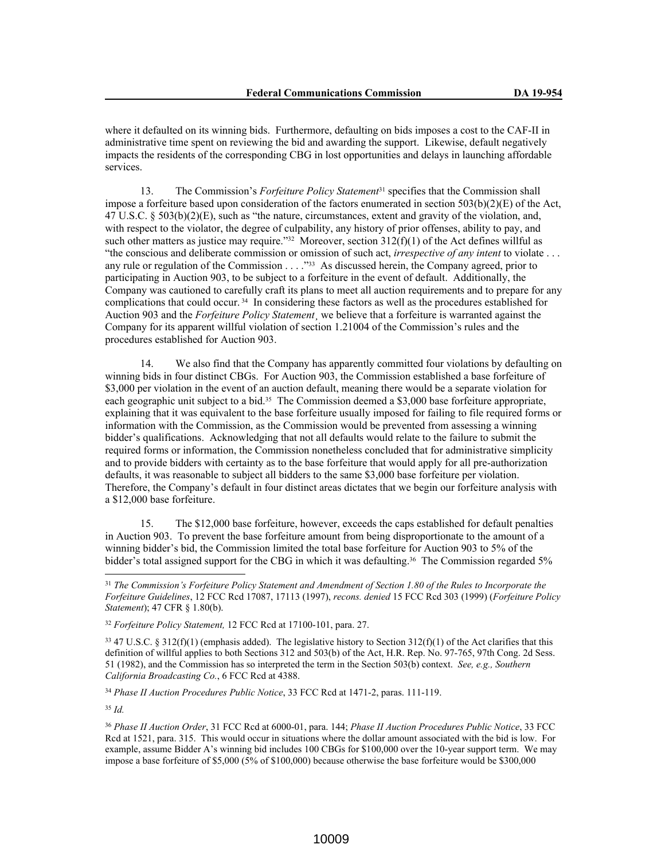where it defaulted on its winning bids. Furthermore, defaulting on bids imposes a cost to the CAF-II in administrative time spent on reviewing the bid and awarding the support. Likewise, default negatively impacts the residents of the corresponding CBG in lost opportunities and delays in launching affordable services.

13. The Commission's *Forfeiture Policy Statement*31 specifies that the Commission shall impose a forfeiture based upon consideration of the factors enumerated in section  $503(b)(2)(E)$  of the Act, 47 U.S.C. § 503(b)(2)(E), such as "the nature, circumstances, extent and gravity of the violation, and, with respect to the violator, the degree of culpability, any history of prior offenses, ability to pay, and such other matters as justice may require."<sup>32</sup> Moreover, section  $312(f)(1)$  of the Act defines willful as "the conscious and deliberate commission or omission of such act, *irrespective of any intent* to violate . . . any rule or regulation of the Commission . . . .<sup>33</sup> As discussed herein, the Company agreed, prior to participating in Auction 903, to be subject to a forfeiture in the event of default. Additionally, the Company was cautioned to carefully craft its plans to meet all auction requirements and to prepare for any complications that could occur. 34 In considering these factors as well as the procedures established for Auction 903 and the *Forfeiture Policy Statement*¸ we believe that a forfeiture is warranted against the Company for its apparent willful violation of section 1.21004 of the Commission's rules and the procedures established for Auction 903.

14. We also find that the Company has apparently committed four violations by defaulting on winning bids in four distinct CBGs. For Auction 903, the Commission established a base forfeiture of \$3,000 per violation in the event of an auction default, meaning there would be a separate violation for each geographic unit subject to a bid.35 The Commission deemed a \$3,000 base forfeiture appropriate, explaining that it was equivalent to the base forfeiture usually imposed for failing to file required forms or information with the Commission, as the Commission would be prevented from assessing a winning bidder's qualifications. Acknowledging that not all defaults would relate to the failure to submit the required forms or information, the Commission nonetheless concluded that for administrative simplicity and to provide bidders with certainty as to the base forfeiture that would apply for all pre-authorization defaults, it was reasonable to subject all bidders to the same \$3,000 base forfeiture per violation. Therefore, the Company's default in four distinct areas dictates that we begin our forfeiture analysis with a \$12,000 base forfeiture.

15. The \$12,000 base forfeiture, however, exceeds the caps established for default penalties in Auction 903. To prevent the base forfeiture amount from being disproportionate to the amount of a winning bidder's bid, the Commission limited the total base forfeiture for Auction 903 to 5% of the bidder's total assigned support for the CBG in which it was defaulting.<sup>36</sup> The Commission regarded 5%

<sup>34</sup> *Phase II Auction Procedures Public Notice*, 33 FCC Rcd at 1471-2, paras. 111-119.

<sup>35</sup> *Id.*

<sup>31</sup> *The Commission's Forfeiture Policy Statement and Amendment of Section 1.80 of the Rules to Incorporate the Forfeiture Guidelines*, 12 FCC Rcd 17087, 17113 (1997), *recons. denied* 15 FCC Rcd 303 (1999) (*Forfeiture Policy Statement*); 47 CFR § 1.80(b).

<sup>32</sup> *Forfeiture Policy Statement,* 12 FCC Rcd at 17100-101, para. 27.

 $33\overline{47}$  U.S.C. § 312(f)(1) (emphasis added). The legislative history to Section 312(f)(1) of the Act clarifies that this definition of willful applies to both Sections 312 and 503(b) of the Act, H.R. Rep. No. 97-765, 97th Cong. 2d Sess. 51 (1982), and the Commission has so interpreted the term in the Section 503(b) context. *See, e.g., Southern California Broadcasting Co.*, 6 FCC Rcd at 4388.

<sup>36</sup> *Phase II Auction Order*, 31 FCC Rcd at 6000-01, para. 144; *Phase II Auction Procedures Public Notice*, 33 FCC Rcd at 1521, para. 315. This would occur in situations where the dollar amount associated with the bid is low. For example, assume Bidder A's winning bid includes 100 CBGs for \$100,000 over the 10-year support term. We may impose a base forfeiture of \$5,000 (5% of \$100,000) because otherwise the base forfeiture would be \$300,000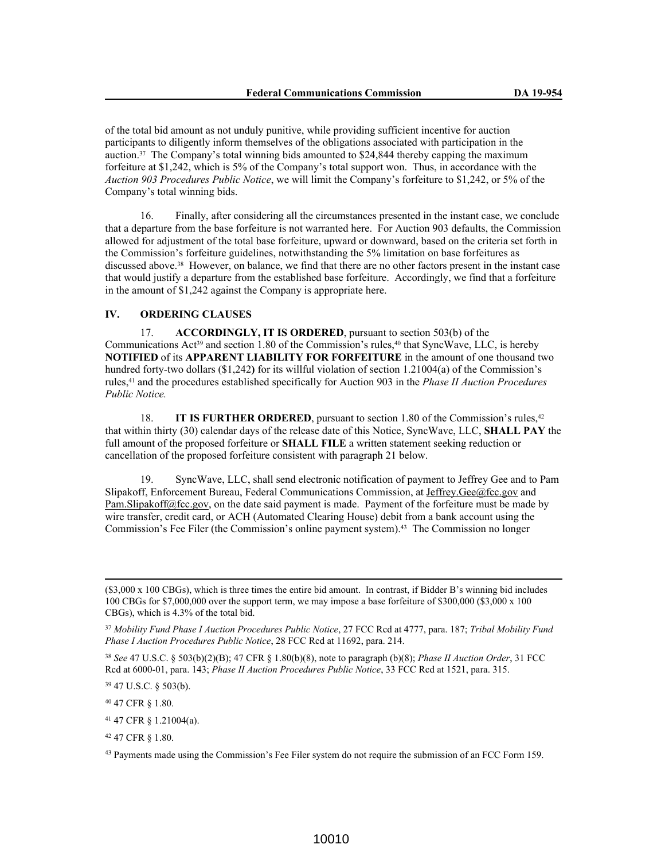of the total bid amount as not unduly punitive, while providing sufficient incentive for auction participants to diligently inform themselves of the obligations associated with participation in the auction.37 The Company's total winning bids amounted to \$24,844 thereby capping the maximum forfeiture at \$1,242, which is 5% of the Company's total support won. Thus, in accordance with the *Auction 903 Procedures Public Notice*, we will limit the Company's forfeiture to \$1,242, or 5% of the Company's total winning bids.

16. Finally, after considering all the circumstances presented in the instant case, we conclude that a departure from the base forfeiture is not warranted here. For Auction 903 defaults, the Commission allowed for adjustment of the total base forfeiture, upward or downward, based on the criteria set forth in the Commission's forfeiture guidelines, notwithstanding the 5% limitation on base forfeitures as discussed above.38 However, on balance, we find that there are no other factors present in the instant case that would justify a departure from the established base forfeiture. Accordingly, we find that a forfeiture in the amount of \$1,242 against the Company is appropriate here.

# **IV. ORDERING CLAUSES**

17. **ACCORDINGLY, IT IS ORDERED**, pursuant to section 503(b) of the Communications Act<sup>39</sup> and section 1.80 of the Commission's rules,<sup>40</sup> that SyncWave, LLC, is hereby **NOTIFIED** of its **APPARENT LIABILITY FOR FORFEITURE** in the amount of one thousand two hundred forty-two dollars (\$1,242**)** for its willful violation of section 1.21004(a) of the Commission's rules,41 and the procedures established specifically for Auction 903 in the *Phase II Auction Procedures Public Notice.*

18. **IT IS FURTHER ORDERED**, pursuant to section 1.80 of the Commission's rules,<sup>42</sup> that within thirty (30) calendar days of the release date of this Notice, SyncWave, LLC, **SHALL PAY** the full amount of the proposed forfeiture or **SHALL FILE** a written statement seeking reduction or cancellation of the proposed forfeiture consistent with paragraph 21 below.

19. SyncWave, LLC, shall send electronic notification of payment to Jeffrey Gee and to Pam Slipakoff, Enforcement Bureau, Federal Communications Commission, at Jeffrey.Gee@fcc.gov and Pam.Slipakoff@fcc.gov, on the date said payment is made. Payment of the forfeiture must be made by wire transfer, credit card, or ACH (Automated Clearing House) debit from a bank account using the Commission's Fee Filer (the Commission's online payment system).43 The Commission no longer

<sup>38</sup> *See* 47 U.S.C. § 503(b)(2)(B); 47 CFR § 1.80(b)(8), note to paragraph (b)(8); *Phase II Auction Order*, 31 FCC Rcd at 6000-01, para. 143; *Phase II Auction Procedures Public Notice*, 33 FCC Rcd at 1521, para. 315.

<sup>39</sup> 47 U.S.C. § 503(b).

<sup>40</sup> 47 CFR § 1.80.

<sup>41</sup> 47 CFR § 1.21004(a).

<sup>42</sup> 47 CFR § 1.80.

<sup>43</sup> Payments made using the Commission's Fee Filer system do not require the submission of an FCC Form 159.

<sup>(\$3,000</sup> x 100 CBGs), which is three times the entire bid amount. In contrast, if Bidder B's winning bid includes 100 CBGs for \$7,000,000 over the support term, we may impose a base forfeiture of \$300,000 (\$3,000 x 100 CBGs), which is 4.3% of the total bid.

<sup>37</sup> *Mobility Fund Phase I Auction Procedures Public Notice*, 27 FCC Rcd at 4777, para. 187; *Tribal Mobility Fund Phase I Auction Procedures Public Notice*, 28 FCC Rcd at 11692, para. 214.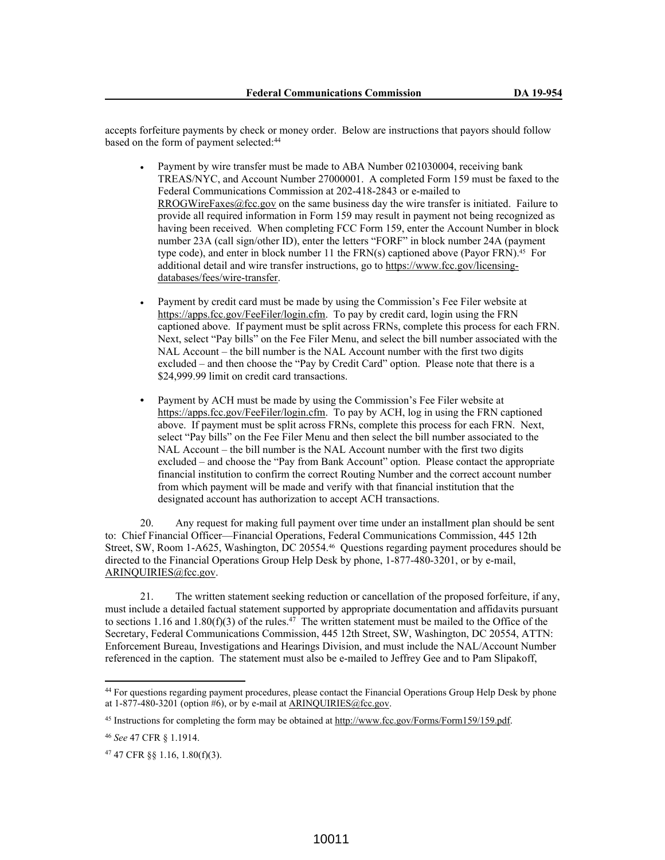accepts forfeiture payments by check or money order. Below are instructions that payors should follow based on the form of payment selected:<sup>44</sup>

- Payment by wire transfer must be made to ABA Number 021030004, receiving bank TREAS/NYC, and Account Number 27000001. A completed Form 159 must be faxed to the Federal Communications Commission at 202-418-2843 or e-mailed to RROGWireFaxes@fcc.gov on the same business day the wire transfer is initiated. Failure to provide all required information in Form 159 may result in payment not being recognized as having been received. When completing FCC Form 159, enter the Account Number in block number 23A (call sign/other ID), enter the letters "FORF" in block number 24A (payment type code), and enter in block number 11 the FRN(s) captioned above (Payor FRN).<sup>45</sup> For additional detail and wire transfer instructions, go to https://www.fcc.gov/licensingdatabases/fees/wire-transfer.
- Payment by credit card must be made by using the Commission's Fee Filer website at https://apps.fcc.gov/FeeFiler/login.cfm. To pay by credit card, login using the FRN captioned above. If payment must be split across FRNs, complete this process for each FRN. Next, select "Pay bills" on the Fee Filer Menu, and select the bill number associated with the NAL Account – the bill number is the NAL Account number with the first two digits excluded – and then choose the "Pay by Credit Card" option. Please note that there is a \$24,999.99 limit on credit card transactions.
- **•** Payment by ACH must be made by using the Commission's Fee Filer website at https://apps.fcc.gov/FeeFiler/login.cfm. To pay by ACH, log in using the FRN captioned above. If payment must be split across FRNs, complete this process for each FRN. Next, select "Pay bills" on the Fee Filer Menu and then select the bill number associated to the NAL Account – the bill number is the NAL Account number with the first two digits excluded – and choose the "Pay from Bank Account" option. Please contact the appropriate financial institution to confirm the correct Routing Number and the correct account number from which payment will be made and verify with that financial institution that the designated account has authorization to accept ACH transactions.

20. Any request for making full payment over time under an installment plan should be sent to: Chief Financial Officer—Financial Operations, Federal Communications Commission, 445 12th Street, SW, Room 1-A625, Washington, DC 20554.46 Questions regarding payment procedures should be directed to the Financial Operations Group Help Desk by phone, 1-877-480-3201, or by e-mail, ARINQUIRIES@fcc.gov.

21. The written statement seeking reduction or cancellation of the proposed forfeiture, if any, must include a detailed factual statement supported by appropriate documentation and affidavits pursuant to sections 1.16 and 1.80(f)(3) of the rules.<sup>47</sup> The written statement must be mailed to the Office of the Secretary, Federal Communications Commission, 445 12th Street, SW, Washington, DC 20554, ATTN: Enforcement Bureau, Investigations and Hearings Division, and must include the NAL/Account Number referenced in the caption. The statement must also be e-mailed to Jeffrey Gee and to Pam Slipakoff,

<sup>44</sup> For questions regarding payment procedures, please contact the Financial Operations Group Help Desk by phone at  $1-877-480-3201$  (option #6), or by e-mail at ARINQUIRIES@fcc.gov.

<sup>45</sup> Instructions for completing the form may be obtained at http://www.fcc.gov/Forms/Form159/159.pdf.

<sup>46</sup> *See* 47 CFR § 1.1914.

<sup>47</sup> 47 CFR §§ 1.16, 1.80(f)(3).